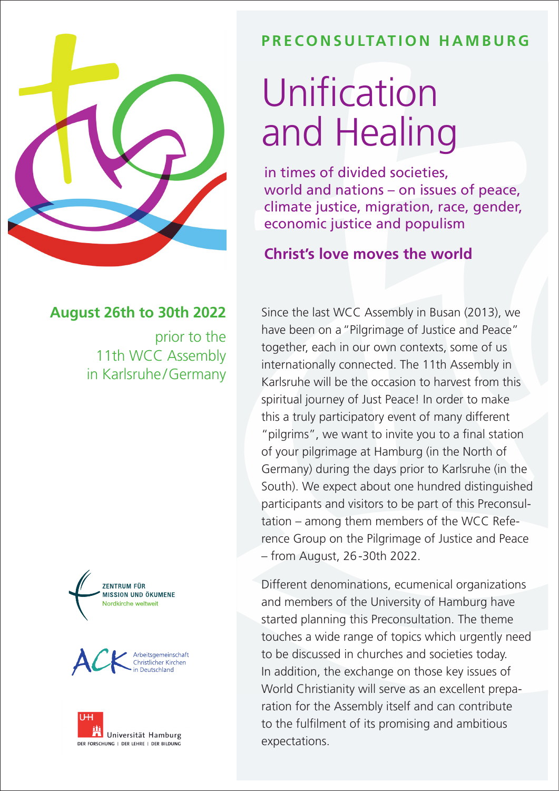

# **PRECONSULTATION HAMBURG**

# Unification and Healing

in times of divided societies, world and nations – on issues of peace, climate justice, migration, race, gender, economic justice and populism

## **Christ's love moves the world**

#### Since the last WCC Assembly in Busan (2013), we have been on a"Pilgrimage of Justice and Peace" together, each in our own contexts, some of us internationally connected. The 11th Assembly in Karlsruhe will be the occasion to harvest from this spiritual journey of Just Peace! In order to make this a truly participatory event of many different "pilgrims", we want to invite you to a final station of your pilgrimage at Hamburg (in the North of Germany) during the days prior to Karlsruhe (in the South). We expect about one hundred distinguished participants and visitors to be part of this Preconsultation – among them members of the WCC Reference Group on the Pilgrimage of Justice and Peace – from August, 26-30th 2022.

Different denominations, ecumenical organizations and members of the University of Hamburg have started planning this Preconsultation. The theme touches a wide range of topics which urgently need to be discussed in churches and societies today. In addition, the exchange on those key issues of World Christianity will serve as an excellent preparation for the Assembly itself and can contribute to the fulfilment of its promising and ambitious expectations.

### **August 26th to 30th 2022**

prior to the 11th WCC Assembly in Karlsruhe/Germany